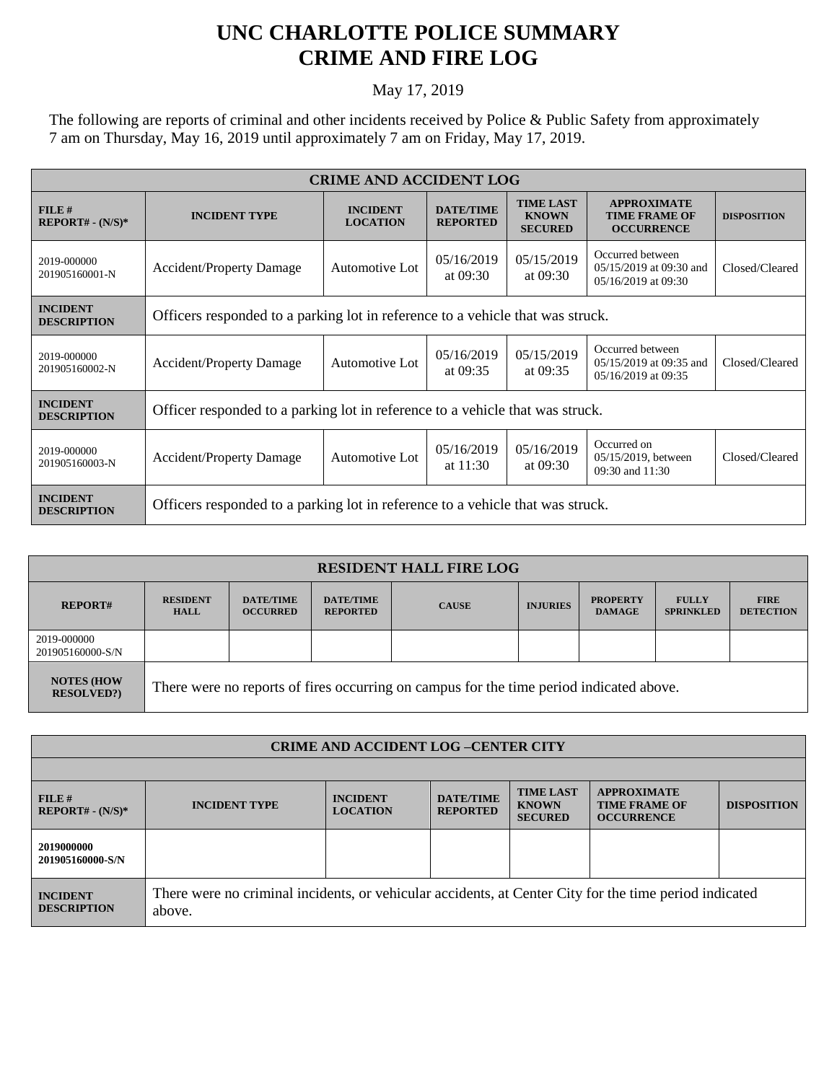## **UNC CHARLOTTE POLICE SUMMARY CRIME AND FIRE LOG**

## May 17, 2019

The following are reports of criminal and other incidents received by Police & Public Safety from approximately 7 am on Thursday, May 16, 2019 until approximately 7 am on Friday, May 17, 2019.

| <b>CRIME AND ACCIDENT LOG</b>         |                                                                                |                                            |                                     |                                                    |                                                                    |                    |  |  |  |
|---------------------------------------|--------------------------------------------------------------------------------|--------------------------------------------|-------------------------------------|----------------------------------------------------|--------------------------------------------------------------------|--------------------|--|--|--|
| $FILE$ #<br>$REPORT# - (N/S)*$        | <b>INCIDENT TYPE</b>                                                           | <b>INCIDENT</b><br><b>LOCATION</b>         | <b>DATE/TIME</b><br><b>REPORTED</b> | <b>TIME LAST</b><br><b>KNOWN</b><br><b>SECURED</b> | <b>APPROXIMATE</b><br><b>TIME FRAME OF</b><br><b>OCCURRENCE</b>    | <b>DISPOSITION</b> |  |  |  |
| 2019-000000<br>201905160001-N         | <b>Accident/Property Damage</b>                                                | Automotive Lot                             | 05/16/2019<br>at $09:30$            | 05/15/2019<br>at $09:30$                           | Occurred between<br>05/15/2019 at 09:30 and<br>05/16/2019 at 09:30 | Closed/Cleared     |  |  |  |
| <b>INCIDENT</b><br><b>DESCRIPTION</b> | Officers responded to a parking lot in reference to a vehicle that was struck. |                                            |                                     |                                                    |                                                                    |                    |  |  |  |
| 2019-000000<br>201905160002-N         | <b>Accident/Property Damage</b>                                                | Automotive Lot                             | 05/16/2019<br>at $09:35$            | 05/15/2019<br>at $09:35$                           | Occurred between<br>05/15/2019 at 09:35 and<br>05/16/2019 at 09:35 | Closed/Cleared     |  |  |  |
| <b>INCIDENT</b><br><b>DESCRIPTION</b> | Officer responded to a parking lot in reference to a vehicle that was struck.  |                                            |                                     |                                                    |                                                                    |                    |  |  |  |
| 2019-000000<br>201905160003-N         | <b>Accident/Property Damage</b>                                                | 05/16/2019<br>Automotive Lot<br>at $11:30$ |                                     | 05/16/2019<br>at $09:30$                           | Occurred on<br>05/15/2019, between<br>09:30 and 11:30              | Closed/Cleared     |  |  |  |
| <b>INCIDENT</b><br><b>DESCRIPTION</b> | Officers responded to a parking lot in reference to a vehicle that was struck. |                                            |                                     |                                                    |                                                                    |                    |  |  |  |

| <b>RESIDENT HALL FIRE LOG</b>         |                                                                                         |                                     |                                     |              |                 |                                  |                                  |                                 |
|---------------------------------------|-----------------------------------------------------------------------------------------|-------------------------------------|-------------------------------------|--------------|-----------------|----------------------------------|----------------------------------|---------------------------------|
| <b>REPORT#</b>                        | <b>RESIDENT</b><br><b>HALL</b>                                                          | <b>DATE/TIME</b><br><b>OCCURRED</b> | <b>DATE/TIME</b><br><b>REPORTED</b> | <b>CAUSE</b> | <b>INJURIES</b> | <b>PROPERTY</b><br><b>DAMAGE</b> | <b>FULLY</b><br><b>SPRINKLED</b> | <b>FIRE</b><br><b>DETECTION</b> |
| 2019-000000<br>201905160000-S/N       |                                                                                         |                                     |                                     |              |                 |                                  |                                  |                                 |
| <b>NOTES (HOW</b><br><b>RESOLVED?</b> | There were no reports of fires occurring on campus for the time period indicated above. |                                     |                                     |              |                 |                                  |                                  |                                 |

| <b>CRIME AND ACCIDENT LOG-CENTER CITY</b> |                                                                                                                  |                                    |                                     |                                                    |                                                                 |                    |  |
|-------------------------------------------|------------------------------------------------------------------------------------------------------------------|------------------------------------|-------------------------------------|----------------------------------------------------|-----------------------------------------------------------------|--------------------|--|
|                                           |                                                                                                                  |                                    |                                     |                                                    |                                                                 |                    |  |
| FILE#<br>$REPORT# - (N/S)*$               | <b>INCIDENT TYPE</b>                                                                                             | <b>INCIDENT</b><br><b>LOCATION</b> | <b>DATE/TIME</b><br><b>REPORTED</b> | <b>TIME LAST</b><br><b>KNOWN</b><br><b>SECURED</b> | <b>APPROXIMATE</b><br><b>TIME FRAME OF</b><br><b>OCCURRENCE</b> | <b>DISPOSITION</b> |  |
| 2019000000<br>201905160000-S/N            |                                                                                                                  |                                    |                                     |                                                    |                                                                 |                    |  |
| <b>INCIDENT</b><br><b>DESCRIPTION</b>     | There were no criminal incidents, or vehicular accidents, at Center City for the time period indicated<br>above. |                                    |                                     |                                                    |                                                                 |                    |  |